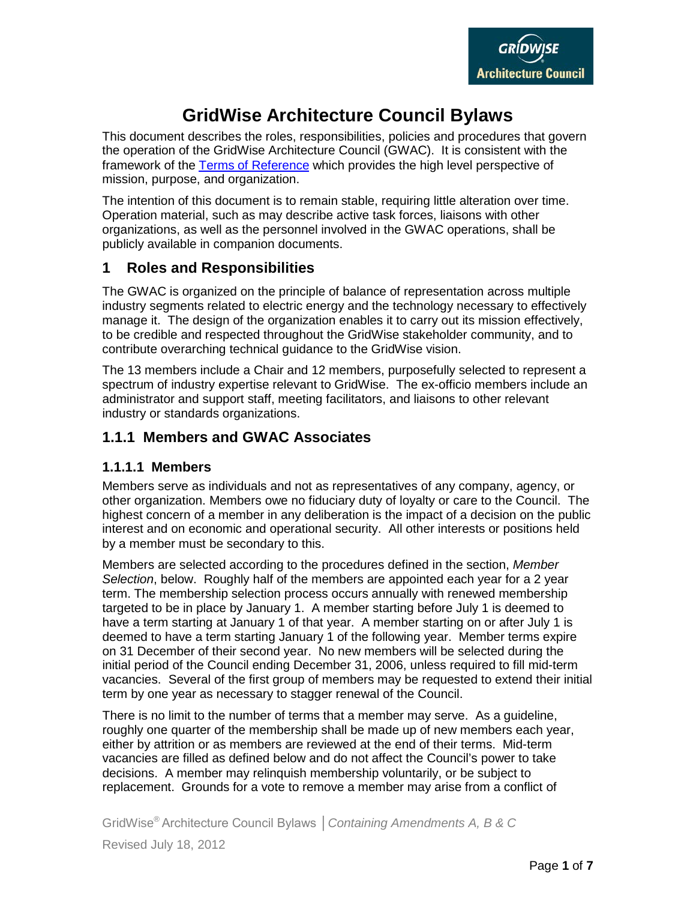

# **GridWise Architecture Council Bylaws**

This document describes the roles, responsibilities, policies and procedures that govern the operation of the GridWise Architecture Council (GWAC). It is consistent with the framework of the [Terms of Reference](http://www.gridwiseac.org/pdfs/gwac_terms.pdf) which provides the high level perspective of mission, purpose, and organization.

The intention of this document is to remain stable, requiring little alteration over time. Operation material, such as may describe active task forces, liaisons with other organizations, as well as the personnel involved in the GWAC operations, shall be publicly available in companion documents.

### **1 Roles and Responsibilities**

The GWAC is organized on the principle of balance of representation across multiple industry segments related to electric energy and the technology necessary to effectively manage it. The design of the organization enables it to carry out its mission effectively, to be credible and respected throughout the GridWise stakeholder community, and to contribute overarching technical guidance to the GridWise vision.

The 13 members include a Chair and 12 members, purposefully selected to represent a spectrum of industry expertise relevant to GridWise. The ex-officio members include an administrator and support staff, meeting facilitators, and liaisons to other relevant industry or standards organizations.

### **1.1.1 Members and GWAC Associates**

#### **1.1.1.1 Members**

Members serve as individuals and not as representatives of any company, agency, or other organization. Members owe no fiduciary duty of loyalty or care to the Council. The highest concern of a member in any deliberation is the impact of a decision on the public interest and on economic and operational security. All other interests or positions held by a member must be secondary to this.

Members are selected according to the procedures defined in the section, *Member Selection*, below. Roughly half of the members are appointed each year for a 2 year term. The membership selection process occurs annually with renewed membership targeted to be in place by January 1. A member starting before July 1 is deemed to have a term starting at January 1 of that year. A member starting on or after July 1 is deemed to have a term starting January 1 of the following year. Member terms expire on 31 December of their second year. No new members will be selected during the initial period of the Council ending December 31, 2006, unless required to fill mid-term vacancies. Several of the first group of members may be requested to extend their initial term by one year as necessary to stagger renewal of the Council.

There is no limit to the number of terms that a member may serve. As a guideline, roughly one quarter of the membership shall be made up of new members each year, either by attrition or as members are reviewed at the end of their terms. Mid-term vacancies are filled as defined below and do not affect the Council's power to take decisions. A member may relinquish membership voluntarily, or be subject to replacement. Grounds for a vote to remove a member may arise from a conflict of

GridWise® Architecture Council Bylaws │*Containing Amendments A, B & C* Revised July 18, 2012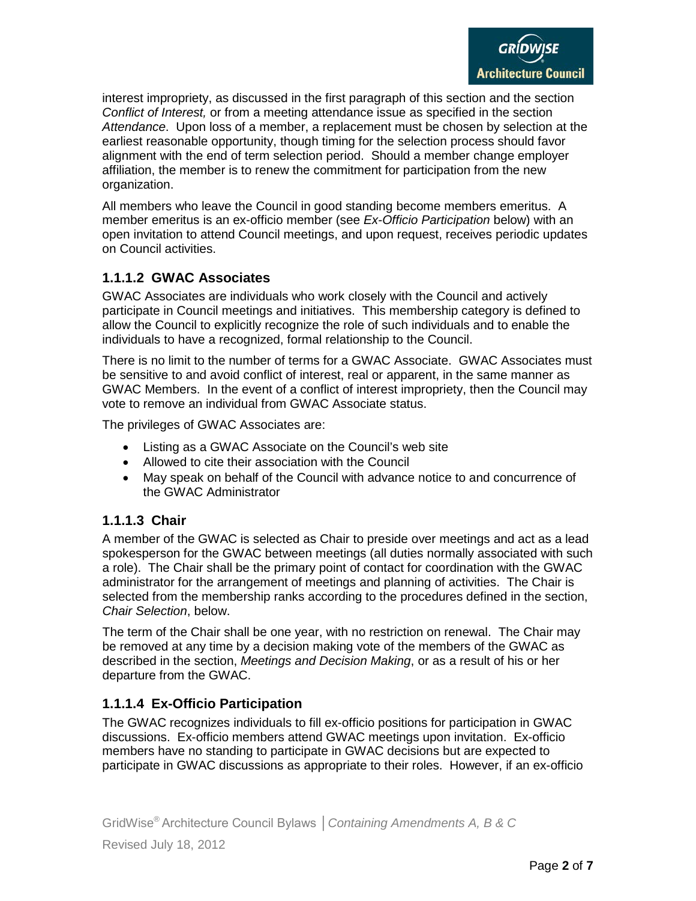interest impropriety, as discussed in the first paragraph of this section and the section *Conflict of Interest,* or from a meeting attendance issue as specified in the section *Attendance*. Upon loss of a member, a replacement must be chosen by selection at the earliest reasonable opportunity, though timing for the selection process should favor alignment with the end of term selection period. Should a member change employer affiliation, the member is to renew the commitment for participation from the new organization.

All members who leave the Council in good standing become members emeritus. A member emeritus is an ex-officio member (see *Ex-Officio Participation* below) with an open invitation to attend Council meetings, and upon request, receives periodic updates on Council activities.

#### **1.1.1.2 GWAC Associates**

GWAC Associates are individuals who work closely with the Council and actively participate in Council meetings and initiatives. This membership category is defined to allow the Council to explicitly recognize the role of such individuals and to enable the individuals to have a recognized, formal relationship to the Council.

There is no limit to the number of terms for a GWAC Associate. GWAC Associates must be sensitive to and avoid conflict of interest, real or apparent, in the same manner as GWAC Members. In the event of a conflict of interest impropriety, then the Council may vote to remove an individual from GWAC Associate status.

The privileges of GWAC Associates are:

- Listing as a GWAC Associate on the Council's web site
- Allowed to cite their association with the Council
- May speak on behalf of the Council with advance notice to and concurrence of the GWAC Administrator

#### **1.1.1.3 Chair**

A member of the GWAC is selected as Chair to preside over meetings and act as a lead spokesperson for the GWAC between meetings (all duties normally associated with such a role). The Chair shall be the primary point of contact for coordination with the GWAC administrator for the arrangement of meetings and planning of activities. The Chair is selected from the membership ranks according to the procedures defined in the section, *Chair Selection*, below.

The term of the Chair shall be one year, with no restriction on renewal. The Chair may be removed at any time by a decision making vote of the members of the GWAC as described in the section, *Meetings and Decision Making*, or as a result of his or her departure from the GWAC.

#### **1.1.1.4 Ex-Officio Participation**

The GWAC recognizes individuals to fill ex-officio positions for participation in GWAC discussions. Ex-officio members attend GWAC meetings upon invitation. Ex-officio members have no standing to participate in GWAC decisions but are expected to participate in GWAC discussions as appropriate to their roles. However, if an ex-officio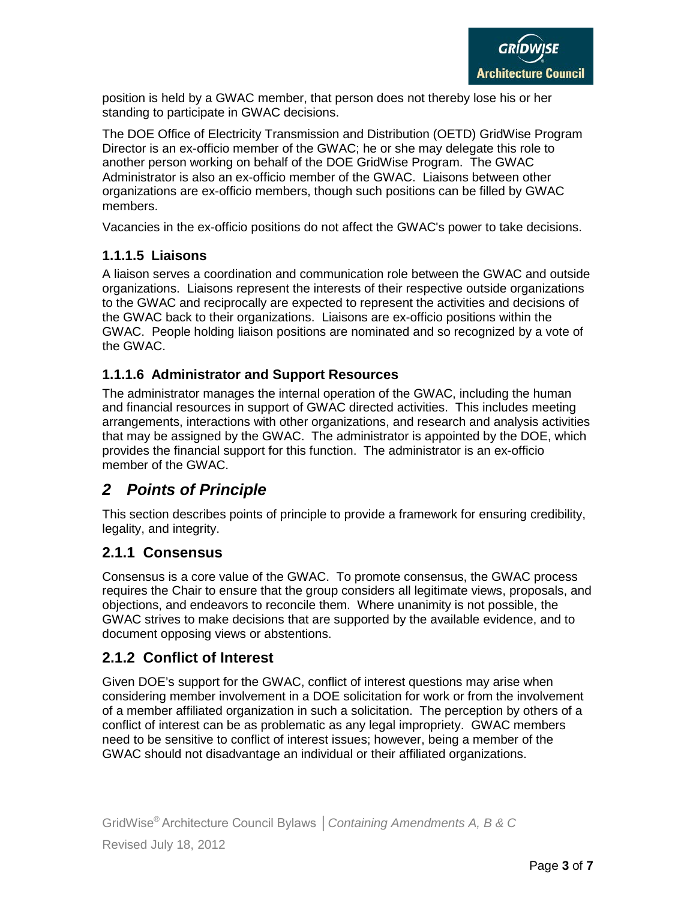position is held by a GWAC member, that person does not thereby lose his or her standing to participate in GWAC decisions.

The DOE Office of Electricity Transmission and Distribution (OETD) GridWise Program Director is an ex-officio member of the GWAC; he or she may delegate this role to another person working on behalf of the DOE GridWise Program. The GWAC Administrator is also an ex-officio member of the GWAC. Liaisons between other organizations are ex-officio members, though such positions can be filled by GWAC members.

Vacancies in the ex-officio positions do not affect the GWAC's power to take decisions.

### **1.1.1.5 Liaisons**

A liaison serves a coordination and communication role between the GWAC and outside organizations. Liaisons represent the interests of their respective outside organizations to the GWAC and reciprocally are expected to represent the activities and decisions of the GWAC back to their organizations. Liaisons are ex-officio positions within the GWAC. People holding liaison positions are nominated and so recognized by a vote of the GWAC.

### **1.1.1.6 Administrator and Support Resources**

The administrator manages the internal operation of the GWAC, including the human and financial resources in support of GWAC directed activities. This includes meeting arrangements, interactions with other organizations, and research and analysis activities that may be assigned by the GWAC. The administrator is appointed by the DOE, which provides the financial support for this function. The administrator is an ex-officio member of the GWAC.

# *2 Points of Principle*

This section describes points of principle to provide a framework for ensuring credibility, legality, and integrity.

### **2.1.1 Consensus**

Consensus is a core value of the GWAC. To promote consensus, the GWAC process requires the Chair to ensure that the group considers all legitimate views, proposals, and objections, and endeavors to reconcile them. Where unanimity is not possible, the GWAC strives to make decisions that are supported by the available evidence, and to document opposing views or abstentions.

### **2.1.2 Conflict of Interest**

Given DOE's support for the GWAC, conflict of interest questions may arise when considering member involvement in a DOE solicitation for work or from the involvement of a member affiliated organization in such a solicitation. The perception by others of a conflict of interest can be as problematic as any legal impropriety. GWAC members need to be sensitive to conflict of interest issues; however, being a member of the GWAC should not disadvantage an individual or their affiliated organizations.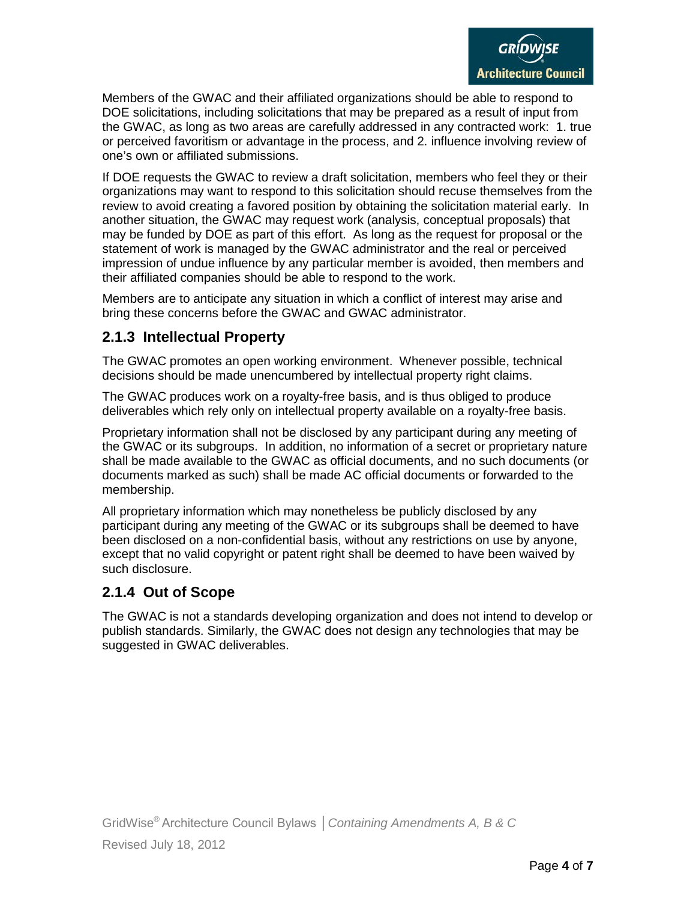Members of the GWAC and their affiliated organizations should be able to respond to DOE solicitations, including solicitations that may be prepared as a result of input from the GWAC, as long as two areas are carefully addressed in any contracted work: 1. true or perceived favoritism or advantage in the process, and 2. influence involving review of one's own or affiliated submissions.

If DOE requests the GWAC to review a draft solicitation, members who feel they or their organizations may want to respond to this solicitation should recuse themselves from the review to avoid creating a favored position by obtaining the solicitation material early. In another situation, the GWAC may request work (analysis, conceptual proposals) that may be funded by DOE as part of this effort. As long as the request for proposal or the statement of work is managed by the GWAC administrator and the real or perceived impression of undue influence by any particular member is avoided, then members and their affiliated companies should be able to respond to the work.

Members are to anticipate any situation in which a conflict of interest may arise and bring these concerns before the GWAC and GWAC administrator.

#### **2.1.3 Intellectual Property**

The GWAC promotes an open working environment. Whenever possible, technical decisions should be made unencumbered by intellectual property right claims.

The GWAC produces work on a royalty-free basis, and is thus obliged to produce deliverables which rely only on intellectual property available on a royalty-free basis.

Proprietary information shall not be disclosed by any participant during any meeting of the GWAC or its subgroups. In addition, no information of a secret or proprietary nature shall be made available to the GWAC as official documents, and no such documents (or documents marked as such) shall be made AC official documents or forwarded to the membership.

All proprietary information which may nonetheless be publicly disclosed by any participant during any meeting of the GWAC or its subgroups shall be deemed to have been disclosed on a non-confidential basis, without any restrictions on use by anyone, except that no valid copyright or patent right shall be deemed to have been waived by such disclosure.

### **2.1.4 Out of Scope**

The GWAC is not a standards developing organization and does not intend to develop or publish standards. Similarly, the GWAC does not design any technologies that may be suggested in GWAC deliverables.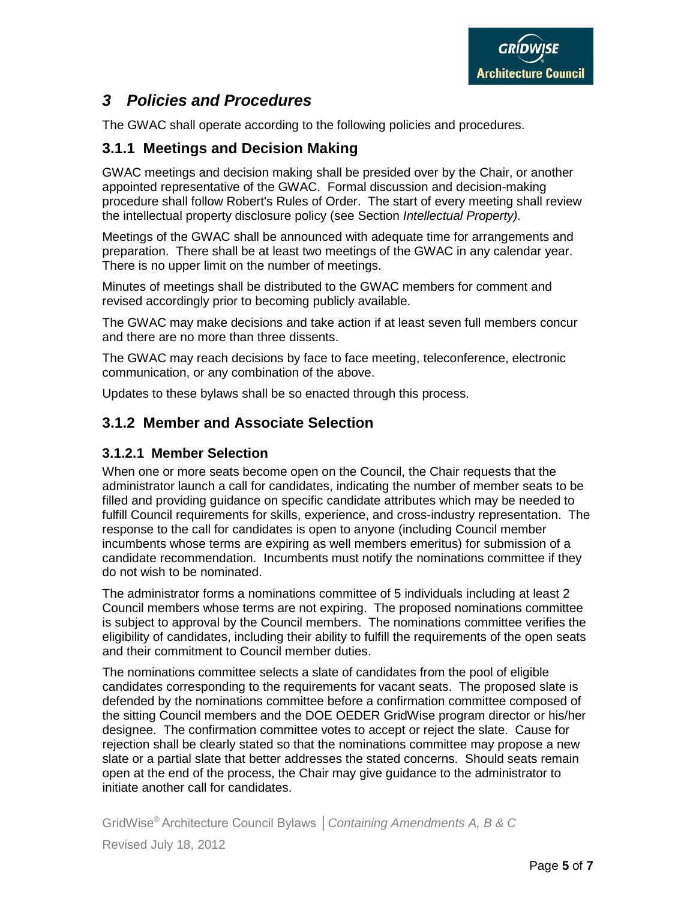# *3 Policies and Procedures*

The GWAC shall operate according to the following policies and procedures.

### **3.1.1 Meetings and Decision Making**

GWAC meetings and decision making shall be presided over by the Chair, or another appointed representative of the GWAC. Formal discussion and decision-making procedure shall follow Robert's Rules of Order. The start of every meeting shall review the intellectual property disclosure policy (see Section *Intellectual Property).*

Meetings of the GWAC shall be announced with adequate time for arrangements and preparation. There shall be at least two meetings of the GWAC in any calendar year. There is no upper limit on the number of meetings.

Minutes of meetings shall be distributed to the GWAC members for comment and revised accordingly prior to becoming publicly available.

The GWAC may make decisions and take action if at least seven full members concur and there are no more than three dissents.

The GWAC may reach decisions by face to face meeting, teleconference, electronic communication, or any combination of the above.

Updates to these bylaws shall be so enacted through this process.

### **3.1.2 Member and Associate Selection**

#### **3.1.2.1 Member Selection**

When one or more seats become open on the Council, the Chair requests that the administrator launch a call for candidates, indicating the number of member seats to be filled and providing guidance on specific candidate attributes which may be needed to fulfill Council requirements for skills, experience, and cross-industry representation. The response to the call for candidates is open to anyone (including Council member incumbents whose terms are expiring as well members emeritus) for submission of a candidate recommendation. Incumbents must notify the nominations committee if they do not wish to be nominated.

The administrator forms a nominations committee of 5 individuals including at least 2 Council members whose terms are not expiring. The proposed nominations committee is subject to approval by the Council members. The nominations committee verifies the eligibility of candidates, including their ability to fulfill the requirements of the open seats and their commitment to Council member duties.

The nominations committee selects a slate of candidates from the pool of eligible candidates corresponding to the requirements for vacant seats. The proposed slate is defended by the nominations committee before a confirmation committee composed of the sitting Council members and the DOE OEDER GridWise program director or his/her designee. The confirmation committee votes to accept or reject the slate. Cause for rejection shall be clearly stated so that the nominations committee may propose a new slate or a partial slate that better addresses the stated concerns. Should seats remain open at the end of the process, the Chair may give guidance to the administrator to initiate another call for candidates.

GridWise® Architecture Council Bylaws │*Containing Amendments A, B & C* Revised July 18, 2012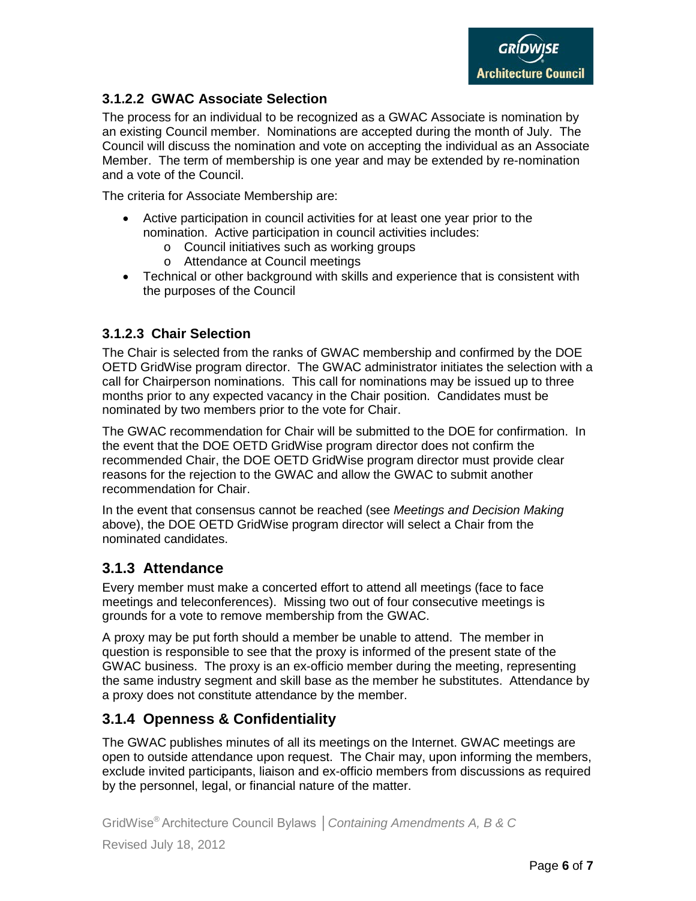#### **3.1.2.2 GWAC Associate Selection**

The process for an individual to be recognized as a GWAC Associate is nomination by an existing Council member. Nominations are accepted during the month of July. The Council will discuss the nomination and vote on accepting the individual as an Associate Member. The term of membership is one year and may be extended by re-nomination and a vote of the Council.

The criteria for Associate Membership are:

- Active participation in council activities for at least one year prior to the nomination. Active participation in council activities includes:
	- o Council initiatives such as working groups
	- o Attendance at Council meetings
- Technical or other background with skills and experience that is consistent with the purposes of the Council

#### **3.1.2.3 Chair Selection**

The Chair is selected from the ranks of GWAC membership and confirmed by the DOE OETD GridWise program director. The GWAC administrator initiates the selection with a call for Chairperson nominations. This call for nominations may be issued up to three months prior to any expected vacancy in the Chair position. Candidates must be nominated by two members prior to the vote for Chair.

The GWAC recommendation for Chair will be submitted to the DOE for confirmation. In the event that the DOE OETD GridWise program director does not confirm the recommended Chair, the DOE OETD GridWise program director must provide clear reasons for the rejection to the GWAC and allow the GWAC to submit another recommendation for Chair.

In the event that consensus cannot be reached (see *Meetings and Decision Making*  above), the DOE OETD GridWise program director will select a Chair from the nominated candidates.

#### **3.1.3 Attendance**

Every member must make a concerted effort to attend all meetings (face to face meetings and teleconferences). Missing two out of four consecutive meetings is grounds for a vote to remove membership from the GWAC.

A proxy may be put forth should a member be unable to attend. The member in question is responsible to see that the proxy is informed of the present state of the GWAC business. The proxy is an ex-officio member during the meeting, representing the same industry segment and skill base as the member he substitutes. Attendance by a proxy does not constitute attendance by the member.

### **3.1.4 Openness & Confidentiality**

The GWAC publishes minutes of all its meetings on the Internet. GWAC meetings are open to outside attendance upon request. The Chair may, upon informing the members, exclude invited participants, liaison and ex-officio members from discussions as required by the personnel, legal, or financial nature of the matter.